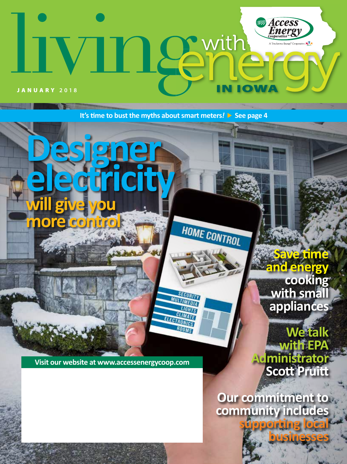# Access<br>Energy Leemth ative **KTX IOW** JANUARY **2018**

**It's time to bust the myths about smart meters***!* $\triangleright$  **See page 4** 

**Designer electricity will give you more control HOME CONTROL Save time and energy cooking with small**  SECURITY **MULTIMEDIA appliances LIGHTS**  $C$ ELECTRONICS ATF ROOMS

**Visit our website at www.accessenergycoop.com**

**We talk with EPA Administrator Scott Pruitt**

**Our commitment to community includes** 

**supporting local** 

**businesses**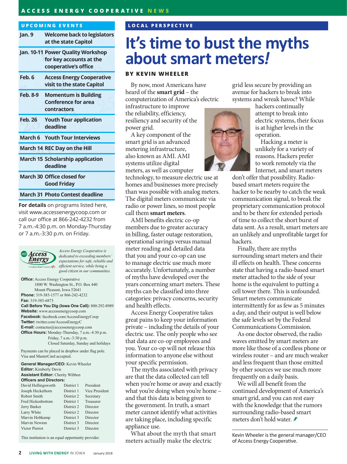### **ACCESS ENERGY COOPERATIVE NEWS**

#### **UPCOMING EVENTS**

| Jan. 9                                 | <b>Welcome back to legislators</b><br>at the state Capitol                           |
|----------------------------------------|--------------------------------------------------------------------------------------|
|                                        | Jan. 10-11 Power Quality Workshop<br>for key accounts at the<br>cooperative's office |
| Feb. 6                                 | <b>Access Energy Cooperative</b><br>visit to the state Capitol                       |
| <b>Feb. 8-9</b>                        | <b>Momentum is Building</b><br><b>Conference for area</b><br>contractors             |
| <b>Feb. 26</b>                         | <b>Youth Tour application</b><br>deadline                                            |
|                                        | <b>March 6 Youth Tour Interviews</b>                                                 |
|                                        | March 14 REC Day on the Hill                                                         |
|                                        | <b>March 15 Scholarship application</b><br>deadline                                  |
|                                        | <b>March 30 Office closed for</b><br><b>Good Friday</b>                              |
| $\mathbf{r} = \mathbf{r} + \mathbf{r}$ | .                                                                                    |

#### **March 31 Photo Contest deadline**

**For details** on programs listed here, visit www.accessenergycoop.com or call our office at 866-242-4232 from 7 a.m.-4:30 p.m. on Monday-Thursday or 7 a.m.-3:30 p.m. on Friday.



*Access Energy Cooperative is dedicated to exceeding members' expectations for safe, reliable and efficient service, while being a good citizen in our communities.*

**Office:** Access Energy Cooperative 1800 W. Washington St., P.O. Box 440 Mount Pleasant, Iowa 52641 **Phone:** 319-385-1577 or 866-242-4232 **Fax:** 319-385-6873 **Call Before You Dig (Iowa One Call):** 800-292-8989 **Website:** www.accessenergycoop.com **Facebook:** facebook.com/AccessEnergyCoop **Twitter:** twitter.com/AccessEnergyC **E-mail:** contactus@accessenergycoop.com **Office Hours:** Monday-Thursday, 7 a.m.-4:30 p.m. Friday, 7 a.m.-3:30 p.m.

Closed Saturday, Sunday and holidays

Payments can be placed in dropbox under flag pole. Visa and MasterCard accepted.

**General Manager/CEO:** Kevin Wheeler **Editor:** Kimberly Davis **Assistant Editor:** Cherity Wibben **Officers and Directors:**

| David Hollingsworth      | District 1 | President      |
|--------------------------|------------|----------------|
| Joseph Heckethorn        | District 1 | Vice President |
| Robert Smith             | District 2 | Secretary      |
| <b>Fred Hickenbottom</b> | District 1 | Treasurer      |
| Jerry Barker             | District 2 | Director       |
| Larry White              | District 2 | Director       |
| Marvin Holtkamp          | District 3 | Director       |
| Marvin Newton            | District 3 | Director       |
| Victor Pierrot           | District 3 | Director       |
|                          |            |                |

This institution is an equal opportunity provider.

### **LOCAL PERSPECTIVE**

# **It's time to bust the myths about smart meters***!*

### **BY KEVIN WHEELER**

By now, most Americans have heard of the **smart grid** – the computerization of America's electric

infrastructure to improve the reliability, efficiency, resiliency and security of the power grid.

A key component of the smart grid is an advanced metering infrastructure, also known as AMI. AMI systems utilize digital meters, as well as computer

technology, to measure electric use at homes and businesses more precisely than was possible with analog meters. The digital meters communicate via radio or power lines, so most people call them **smart meters**.

AMI benefits electric co-op members due to greater accuracy in billing, faster outage restoration, operational savings versus manual meter reading and detailed data that you and your co-op can use to manage electric use much more accurately. Unfortunately, a number of myths have developed over the years concerning smart meters. These myths can be classified into three categories: privacy concerns, security and health effects.

Access Energy Cooperative takes great pains to keep your information private – including the details of your electric use. The only people who see that data are co-op employees and you. Your co-op will not release this information to anyone else without your specific permission.

The myths associated with privacy are that the data collected can tell when you're home or away and exactly what you're doing when you're home – and that this data is being given to the government. In truth, a smart meter cannot identify what activities are taking place, including specific appliance use.

What about the myth that smart meters actually make the electric

grid less secure by providing an avenue for hackers to break into systems and wreak havoc? While

> hackers continually attempt to break into electric systems, their focus is at higher levels in the operation.

Hacking a meter is unlikely for a variety of reasons. Hackers prefer to work remotely via the Internet, and smart meters

don't offer that possibility. Radiobased smart meters require the hacker to be nearby to catch the weak communication signal, to break the proprietary communication protocol and to be there for extended periods of time to collect the short burst of data sent. As a result, smart meters are an unlikely and unprofitable target for hackers.

Finally, there are myths surrounding smart meters and their ill effects on health. These concerns state that having a radio-based smart meter attached to the side of your home is the equivalent to putting a cell tower there. This is unfounded. Smart meters communicate intermittently for as few as 5 minutes a day, and their output is well below the safe levels set by the Federal Communications Commission.

As one doctor observed, the radio waves emitted by smart meters are more like those of a cordless phone or wireless router – and are much weaker and less frequent than those emitted by other sources we use much more frequently on a daily basis.

We will all benefit from the continued development of America's smart grid, and you can rest easy with the knowledge that the rumors surrounding radio-based smart meters don't hold water.

Kevin Wheeler is the general manager/CEO of Access Energy Cooperative.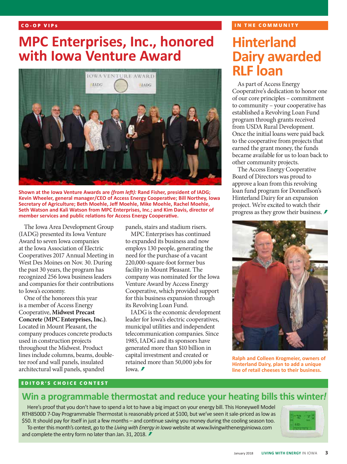### **CO-OP VIP s**

### **MPC Enterprises, Inc., honored with Iowa Venture Award**



**Shown at the Iowa Venture Awards are** *(from left):* **Rand Fisher, president of IADG; Kevin Wheeler, general manager/CEO of Access Energy Cooperative; Bill Northey, Iowa Secretary of Agriculture; Beth Moehle, Jeff Moehle, Mike Moehle, Rachel Moehle, Seth Watson and Kali Watson from MPC Enterprises, Inc.; and Kim Davis, director of member services and public relations for Access Energy Cooperative.**

The Iowa Area Development Group (IADG) presented its Iowa Venture Award to seven Iowa companies at the Iowa Association of Electric Cooperatives 2017 Annual Meeting in West Des Moines on Nov. 30. During the past 30 years, the program has recognized 256 Iowa business leaders and companies for their contributions to Iowa's economy.

One of the honorees this year is a member of Access Energy Cooperative, **Midwest Precast Concrete (MPC Enterprises, Inc.)**. Located in Mount Pleasant, the company produces concrete products used in construction projects throughout the Midwest. Product lines include columns, beams, doubletee roof and wall panels, insulated architectural wall panels, spandrel

panels, stairs and stadium risers.

MPC Enterprises has continued to expanded its business and now employs 130 people, generating the need for the purchase of a vacant 220,000-square-foot former bus facility in Mount Pleasant. The company was nominated for the Iowa Venture Award by Access Energy Cooperative, which provided support for this business expansion through its Revolving Loan Fund.

IADG is the economic development leader for Iowa's electric cooperatives, municipal utilities and independent telecommunication companies. Since 1985, IADG and its sponsors have generated more than \$10 billion in capital investment and created or retained more than 50,000 jobs for Iowa. $\blacktriangleright$ 

### **IN THE COMMUNITY**

## **Hinterland Dairy awarded RLF loan**

As part of Access Energy Cooperative's dedication to honor one of our core principles – commitment to community – your cooperative has established a Revolving Loan Fund program through grants received from USDA Rural Development. Once the initial loans were paid back to the cooperative from projects that earned the grant money, the funds became available for us to loan back to other community projects.

The Access Energy Cooperative Board of Directors was proud to approve a loan from this revolving loan fund program for Donnellson's Hinterland Dairy for an expansion project. We're excited to watch their progress as they grow their business.



**Ralph and Colleen Krogmeier, owners of Hinterland Dairy, plan to add a unique line of retail cheeses to their business.**

### **EDITOR'S CHOICE CONTEST**

### **Win a programmable thermostat and reduce your heating bills this winter***!*

Here's proof that you don't have to spend a lot to have a big impact on your energy bill. This Honeywell Model RTH8500D 7-Day Programmable Thermostat is reasonably priced at \$100, but we've seen it sale-priced as low as \$50. It should pay for itself in just a few months – and continue saving you money during the cooling season too. To enter this month's contest, go to the *Living with Energy in Iowa* website at www.livingwithenergyiniowa.com and complete the entry form no later than Jan. 31, 2018. €

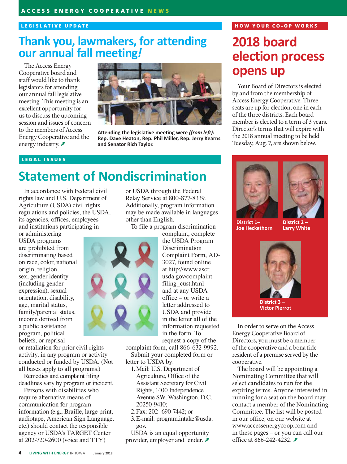### **LEGISLATIVE UPDATE**

### **Thank you, lawmakers, for attending our annual fall meeting***!*

The Access Energy Cooperative board and staff would like to thank legislators for attending our annual fall legislative meeting. This meeting is an excellent opportunity for us to discuss the upcoming session and issues of concern to the members of Access Energy Cooperative and the energy industry. *₹* 



**Attending the legislative meeting were** *(from left):* **Rep. Dave Heaton, Rep. Phil Miller, Rep. Jerry Kearns and Senator Rich Taylor.**

### **LEGAL ISSUES**

### **Statement of Nondiscrimination**

In accordance with Federal civil rights law and U.S. Department of Agriculture (USDA) civil rights regulations and policies, the USDA, its agencies, offices, employees and institutions participating in

or administering USDA programs are prohibited from discriminating based on race, color, national origin, religion, sex, gender identity (including gender expression), sexual orientation, disability, age, marital status, family/parental status, income derived from a public assistance program, political beliefs, or reprisal

or retaliation for prior civil rights activity, in any program or activity conducted or funded by USDA. (Not all bases apply to all programs.)

Remedies and complaint filing deadlines vary by program or incident.

Persons with disabilities who require alternative means of communication for program information (e.g., Braille, large print, audiotape, American Sign Language, etc.) should contact the responsible agency or USDA's TARGET Center at 202-720-2600 (voice and TTY)

or USDA through the Federal Relay Service at 800-877-8339. Additionally, program information may be made available in languages other than English.

To file a program discrimination

complaint, complete the USDA Program **Discrimination** Complaint Form, AD-3027, found online at http://www.ascr. usda.gov/complaint\_ filing\_cust.html and at any USDA office – or write a letter addressed to USDA and provide in the letter all of the information requested in the form. To request a copy of the

complaint form, call 866-632-9992. Submit your completed form or letter to USDA by:

- 1.Mail: U.S. Department of Agriculture, Office of the Assistant Secretary for Civil Rights, 1400 Independence Avenue SW, Washington, D.C. 20250-9410;
- 2.Fax: 202- 690-7442; or
- 3.E-mail: program.intake@usda. gov.

USDA is an equal opportunity provider, employer and lender. *≢* 

### **HOW YOUR CO-OP WORKS**

### **2018 board election process opens up**

Your Board of Directors is elected by and from the membership of Access Energy Cooperative. Three seats are up for election, one in each of the three districts. Each board member is elected to a term of 3 years. Director's terms that will expire with the 2018 annual meeting to be held Tuesday, Aug. 7, are shown below.





**District 1– Joe Heckethorn**

**District 2 – Larry White**



**District 3 – Victor Pierrot**

In order to serve on the Access Energy Cooperative Board of Directors, you must be a member of the cooperative and a bona fide resident of a premise served by the cooperative.

The board will be appointing a Nominating Committee that will select candidates to run for the expiring terms. Anyone interested in running for a seat on the board may contact a member of the Nominating Committee. The list will be posted in our office, on our website at www.accessenergycoop.com and in these pages – or you can call our office at 866-242-4232. *≢*